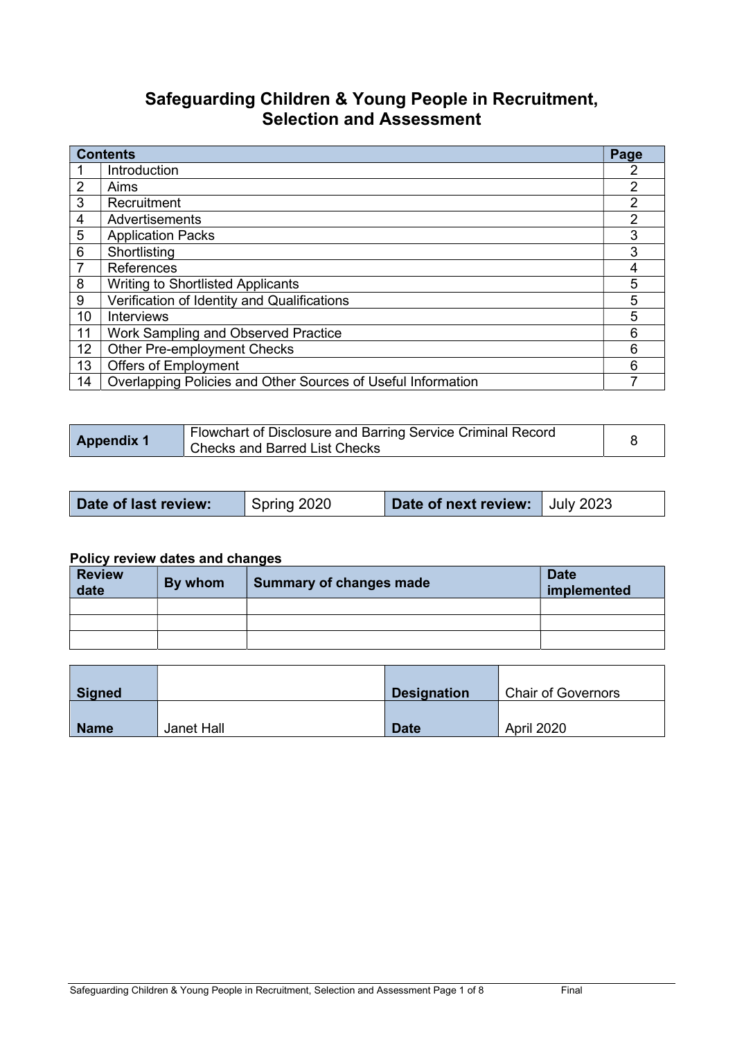# Safeguarding Children & Young People in Recruitment, Selection and Assessment

| <b>Contents</b> |                                                              | Page           |
|-----------------|--------------------------------------------------------------|----------------|
|                 | Introduction                                                 |                |
| $\overline{2}$  | Aims                                                         | $\overline{2}$ |
| 3               | Recruitment                                                  | $\overline{2}$ |
| 4               | Advertisements                                               | 2              |
| 5               | <b>Application Packs</b>                                     | 3              |
| 6               | Shortlisting                                                 | 3              |
| $\overline{7}$  | References                                                   | 4              |
| 8               | <b>Writing to Shortlisted Applicants</b>                     | 5              |
| 9               | Verification of Identity and Qualifications                  | 5              |
| 10              | Interviews                                                   | 5              |
| 11              | Work Sampling and Observed Practice                          | 6              |
| 12              | <b>Other Pre-employment Checks</b>                           | 6              |
| 13              | <b>Offers of Employment</b>                                  | 6              |
| 14              | Overlapping Policies and Other Sources of Useful Information | 7              |

| <b>Appendix 1</b> | Flowchart of Disclosure and Barring Service Criminal Record<br><b>Checks and Barred List Checks</b> |  |
|-------------------|-----------------------------------------------------------------------------------------------------|--|
|-------------------|-----------------------------------------------------------------------------------------------------|--|

|  | Date of last review: | Spring 2020 | Date of next review: July 2023 |  |
|--|----------------------|-------------|--------------------------------|--|
|--|----------------------|-------------|--------------------------------|--|

### Policy review dates and changes

| <b>Review</b><br>date | By whom | <b>Summary of changes made</b> | <b>Date</b><br>implemented |
|-----------------------|---------|--------------------------------|----------------------------|
|                       |         |                                |                            |
|                       |         |                                |                            |
|                       |         |                                |                            |

| <b>Signed</b> |            | <b>Designation</b> | <b>Chair of Governors</b> |
|---------------|------------|--------------------|---------------------------|
| <b>Name</b>   | Janet Hall | <b>Date</b>        | <b>April 2020</b>         |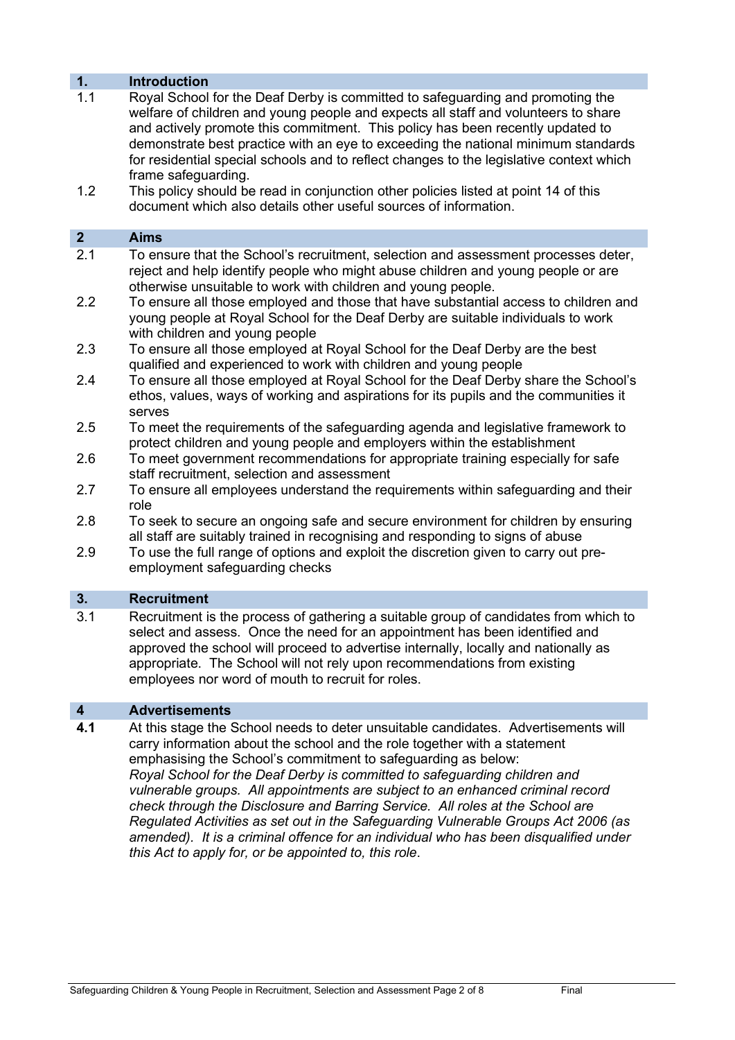### 1. Introduction

- 1.1 Royal School for the Deaf Derby is committed to safeguarding and promoting the welfare of children and young people and expects all staff and volunteers to share and actively promote this commitment. This policy has been recently updated to demonstrate best practice with an eye to exceeding the national minimum standards for residential special schools and to reflect changes to the legislative context which frame safeguarding.
- 1.2 This policy should be read in conjunction other policies listed at point 14 of this document which also details other useful sources of information.

# 2 Aims

- 2.1 To ensure that the School's recruitment, selection and assessment processes deter, reject and help identify people who might abuse children and young people or are otherwise unsuitable to work with children and young people.
- 2.2 To ensure all those employed and those that have substantial access to children and young people at Royal School for the Deaf Derby are suitable individuals to work with children and young people
- 2.3 To ensure all those employed at Royal School for the Deaf Derby are the best qualified and experienced to work with children and young people
- 2.4 To ensure all those employed at Royal School for the Deaf Derby share the School's ethos, values, ways of working and aspirations for its pupils and the communities it serves
- 2.5 To meet the requirements of the safeguarding agenda and legislative framework to protect children and young people and employers within the establishment
- 2.6 To meet government recommendations for appropriate training especially for safe staff recruitment, selection and assessment
- 2.7 To ensure all employees understand the requirements within safeguarding and their role
- 2.8 To seek to secure an ongoing safe and secure environment for children by ensuring all staff are suitably trained in recognising and responding to signs of abuse
- 2.9 To use the full range of options and exploit the discretion given to carry out preemployment safeguarding checks

### 3. Recruitment

3.1 Recruitment is the process of gathering a suitable group of candidates from which to select and assess. Once the need for an appointment has been identified and approved the school will proceed to advertise internally, locally and nationally as appropriate. The School will not rely upon recommendations from existing employees nor word of mouth to recruit for roles.

### 4 Advertisements

4.1 At this stage the School needs to deter unsuitable candidates. Advertisements will carry information about the school and the role together with a statement emphasising the School's commitment to safeguarding as below: Royal School for the Deaf Derby is committed to safeguarding children and vulnerable groups. All appointments are subject to an enhanced criminal record check through the Disclosure and Barring Service. All roles at the School are Regulated Activities as set out in the Safeguarding Vulnerable Groups Act 2006 (as amended). It is a criminal offence for an individual who has been disqualified under this Act to apply for, or be appointed to, this role.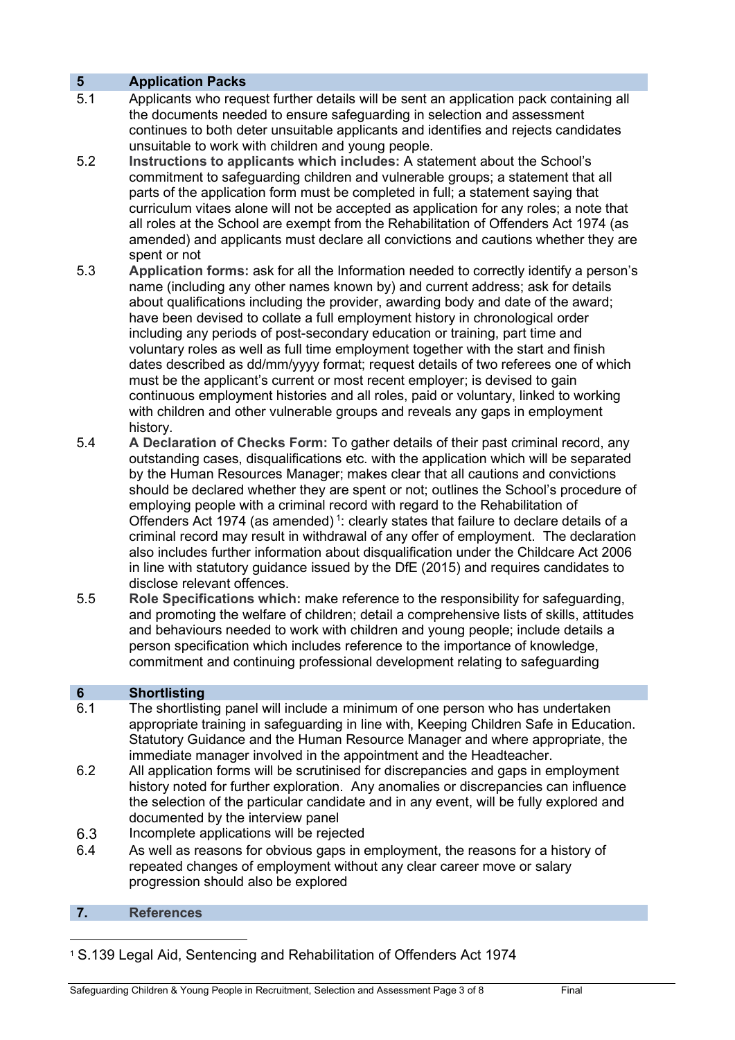# 5 Application Packs

- 5.1 Applicants who request further details will be sent an application pack containing all the documents needed to ensure safeguarding in selection and assessment continues to both deter unsuitable applicants and identifies and rejects candidates unsuitable to work with children and young people.
- 5.2 Instructions to applicants which includes: A statement about the School's commitment to safeguarding children and vulnerable groups; a statement that all parts of the application form must be completed in full; a statement saying that curriculum vitaes alone will not be accepted as application for any roles; a note that all roles at the School are exempt from the Rehabilitation of Offenders Act 1974 (as amended) and applicants must declare all convictions and cautions whether they are spent or not
- 5.3 Application forms: ask for all the Information needed to correctly identify a person's name (including any other names known by) and current address; ask for details about qualifications including the provider, awarding body and date of the award; have been devised to collate a full employment history in chronological order including any periods of post-secondary education or training, part time and voluntary roles as well as full time employment together with the start and finish dates described as dd/mm/yyyy format; request details of two referees one of which must be the applicant's current or most recent employer; is devised to gain continuous employment histories and all roles, paid or voluntary, linked to working with children and other vulnerable groups and reveals any gaps in employment history.
- 5.4 A Declaration of Checks Form: To gather details of their past criminal record, any outstanding cases, disqualifications etc. with the application which will be separated by the Human Resources Manager; makes clear that all cautions and convictions should be declared whether they are spent or not; outlines the School's procedure of employing people with a criminal record with regard to the Rehabilitation of Offenders Act 1974 (as amended)<sup>1</sup>: clearly states that failure to declare details of a criminal record may result in withdrawal of any offer of employment. The declaration also includes further information about disqualification under the Childcare Act 2006 in line with statutory guidance issued by the DfE (2015) and requires candidates to disclose relevant offences.
- 5.5 Role Specifications which: make reference to the responsibility for safeguarding, and promoting the welfare of children; detail a comprehensive lists of skills, attitudes and behaviours needed to work with children and young people; include details a person specification which includes reference to the importance of knowledge, commitment and continuing professional development relating to safeguarding

# 6 Shortlisting

- 6.1 The shortlisting panel will include a minimum of one person who has undertaken appropriate training in safeguarding in line with, Keeping Children Safe in Education. Statutory Guidance and the Human Resource Manager and where appropriate, the immediate manager involved in the appointment and the Headteacher.
- 6.2 All application forms will be scrutinised for discrepancies and gaps in employment history noted for further exploration. Any anomalies or discrepancies can influence the selection of the particular candidate and in any event, will be fully explored and documented by the interview panel
- 6.3 Incomplete applications will be rejected
- 6.4 As well as reasons for obvious gaps in employment, the reasons for a history of repeated changes of employment without any clear career move or salary progression should also be explored

# 7. References

<sup>1</sup> S.139 Legal Aid, Sentencing and Rehabilitation of Offenders Act 1974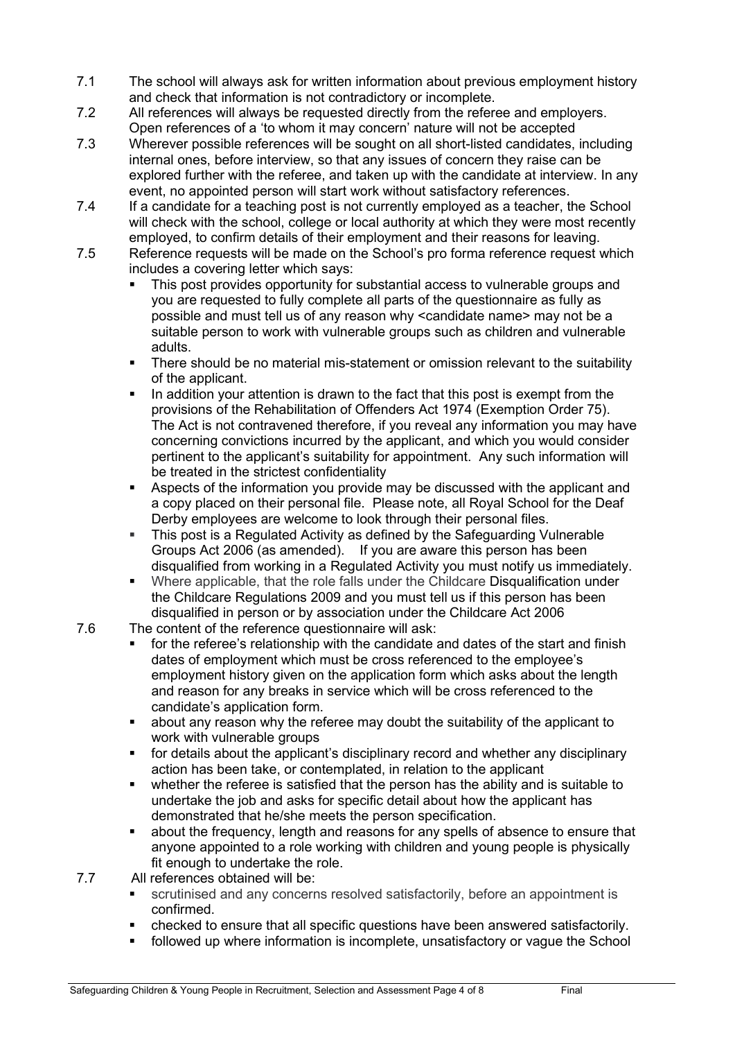- 7.1 The school will always ask for written information about previous employment history and check that information is not contradictory or incomplete.
- 7.2 All references will always be requested directly from the referee and employers. Open references of a 'to whom it may concern' nature will not be accepted
- 7.3 Wherever possible references will be sought on all short-listed candidates, including internal ones, before interview, so that any issues of concern they raise can be explored further with the referee, and taken up with the candidate at interview. In any event, no appointed person will start work without satisfactory references.
- 7.4 If a candidate for a teaching post is not currently employed as a teacher, the School will check with the school, college or local authority at which they were most recently employed, to confirm details of their employment and their reasons for leaving.
- 7.5 Reference requests will be made on the School's pro forma reference request which includes a covering letter which says:
	- This post provides opportunity for substantial access to vulnerable groups and you are requested to fully complete all parts of the questionnaire as fully as possible and must tell us of any reason why <candidate name> may not be a suitable person to work with vulnerable groups such as children and vulnerable adults.
	- There should be no material mis-statement or omission relevant to the suitability of the applicant.
	- In addition your attention is drawn to the fact that this post is exempt from the provisions of the Rehabilitation of Offenders Act 1974 (Exemption Order 75). The Act is not contravened therefore, if you reveal any information you may have concerning convictions incurred by the applicant, and which you would consider pertinent to the applicant's suitability for appointment. Any such information will be treated in the strictest confidentiality
	- Aspects of the information you provide may be discussed with the applicant and a copy placed on their personal file. Please note, all Royal School for the Deaf Derby employees are welcome to look through their personal files.
	- This post is a Regulated Activity as defined by the Safeguarding Vulnerable Groups Act 2006 (as amended). If you are aware this person has been disqualified from working in a Regulated Activity you must notify us immediately.
	- Where applicable, that the role falls under the Childcare Disqualification under the Childcare Regulations 2009 and you must tell us if this person has been disqualified in person or by association under the Childcare Act 2006
- 7.6 The content of the reference questionnaire will ask:
	- for the referee's relationship with the candidate and dates of the start and finish dates of employment which must be cross referenced to the employee's employment history given on the application form which asks about the length and reason for any breaks in service which will be cross referenced to the candidate's application form.
	- about any reason why the referee may doubt the suitability of the applicant to work with vulnerable groups
	- for details about the applicant's disciplinary record and whether any disciplinary action has been take, or contemplated, in relation to the applicant
	- whether the referee is satisfied that the person has the ability and is suitable to undertake the job and asks for specific detail about how the applicant has demonstrated that he/she meets the person specification.
	- about the frequency, length and reasons for any spells of absence to ensure that anyone appointed to a role working with children and young people is physically fit enough to undertake the role.
- 7.7 All references obtained will be:
	- scrutinised and any concerns resolved satisfactorily, before an appointment is confirmed.
	- checked to ensure that all specific questions have been answered satisfactorily.
	- followed up where information is incomplete, unsatisfactory or vague the School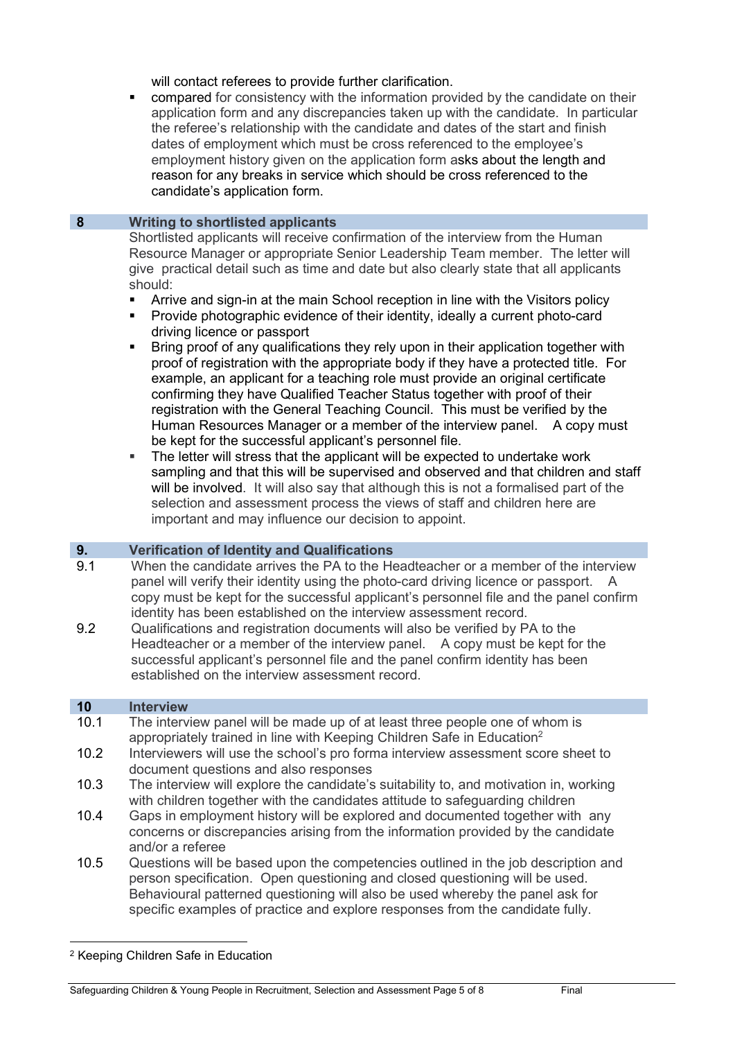will contact referees to provide further clarification.

 compared for consistency with the information provided by the candidate on their application form and any discrepancies taken up with the candidate. In particular the referee's relationship with the candidate and dates of the start and finish dates of employment which must be cross referenced to the employee's employment history given on the application form asks about the length and reason for any breaks in service which should be cross referenced to the candidate's application form.

### 8 Writing to shortlisted applicants

Shortlisted applicants will receive confirmation of the interview from the Human Resource Manager or appropriate Senior Leadership Team member. The letter will give practical detail such as time and date but also clearly state that all applicants should:

- Arrive and sign-in at the main School reception in line with the Visitors policy
- Provide photographic evidence of their identity, ideally a current photo-card driving licence or passport
- Bring proof of any qualifications they rely upon in their application together with proof of registration with the appropriate body if they have a protected title. For example, an applicant for a teaching role must provide an original certificate confirming they have Qualified Teacher Status together with proof of their registration with the General Teaching Council. This must be verified by the Human Resources Manager or a member of the interview panel. A copy must be kept for the successful applicant's personnel file.
- The letter will stress that the applicant will be expected to undertake work sampling and that this will be supervised and observed and that children and staff will be involved. It will also say that although this is not a formalised part of the selection and assessment process the views of staff and children here are important and may influence our decision to appoint.

# 9. Verification of Identity and Qualifications

- 9.1 When the candidate arrives the PA to the Headteacher or a member of the interview panel will verify their identity using the photo-card driving licence or passport. A copy must be kept for the successful applicant's personnel file and the panel confirm identity has been established on the interview assessment record.
- 9.2 Qualifications and registration documents will also be verified by PA to the Headteacher or a member of the interview panel. A copy must be kept for the successful applicant's personnel file and the panel confirm identity has been established on the interview assessment record.

### 10 Interview

- 10.1 The interview panel will be made up of at least three people one of whom is appropriately trained in line with Keeping Children Safe in Education<sup>2</sup>
- 10.2 Interviewers will use the school's pro forma interview assessment score sheet to document questions and also responses
- 10.3 The interview will explore the candidate's suitability to, and motivation in, working with children together with the candidates attitude to safeguarding children
- 10.4 Gaps in employment history will be explored and documented together with any concerns or discrepancies arising from the information provided by the candidate and/or a referee
- 10.5 Questions will be based upon the competencies outlined in the job description and person specification. Open questioning and closed questioning will be used. Behavioural patterned questioning will also be used whereby the panel ask for specific examples of practice and explore responses from the candidate fully.

<sup>2</sup> Keeping Children Safe in Education

Safeguarding Children & Young People in Recruitment, Selection and Assessment Page 5 of 8 Final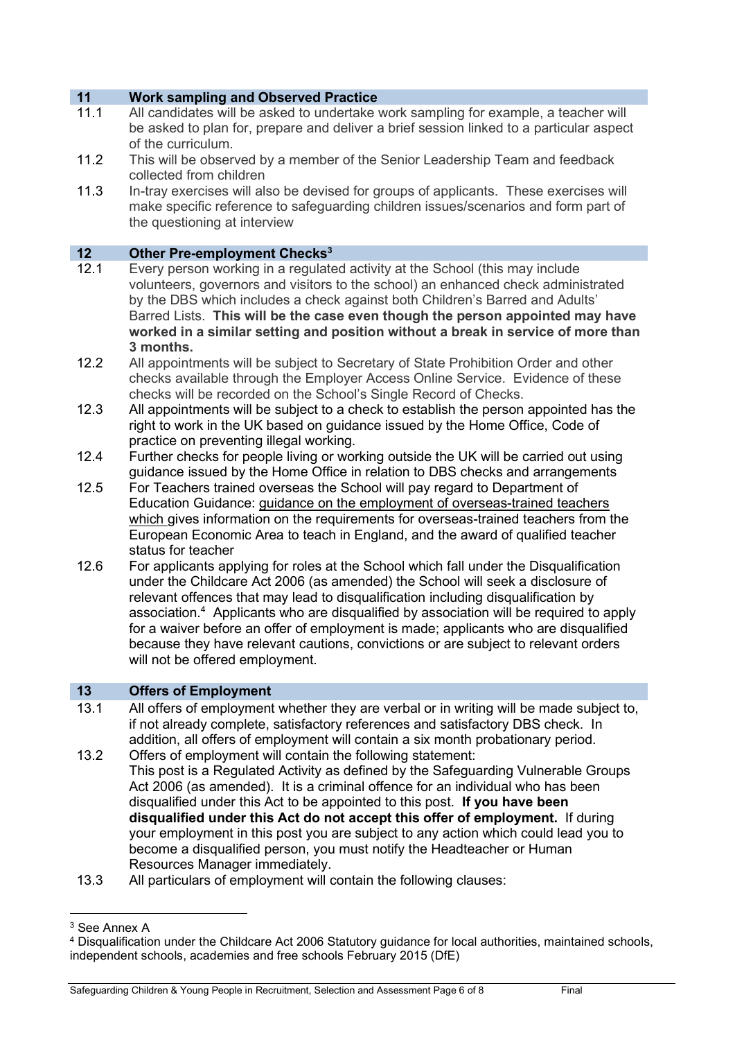### 11 Work sampling and Observed Practice

- 11.1 All candidates will be asked to undertake work sampling for example, a teacher will be asked to plan for, prepare and deliver a brief session linked to a particular aspect of the curriculum.
- 11.2 This will be observed by a member of the Senior Leadership Team and feedback collected from children
- 11.3 In-tray exercises will also be devised for groups of applicants. These exercises will make specific reference to safeguarding children issues/scenarios and form part of the questioning at interview

### 12 Other Pre-employment Checks<sup>3</sup>

- 12.1 Every person working in a regulated activity at the School (this may include volunteers, governors and visitors to the school) an enhanced check administrated by the DBS which includes a check against both Children's Barred and Adults' Barred Lists. This will be the case even though the person appointed may have worked in a similar setting and position without a break in service of more than 3 months.
- 12.2 All appointments will be subject to Secretary of State Prohibition Order and other checks available through the Employer Access Online Service. Evidence of these checks will be recorded on the School's Single Record of Checks.
- 12.3 All appointments will be subject to a check to establish the person appointed has the right to work in the UK based on guidance issued by the Home Office, Code of practice on preventing illegal working.
- 12.4 Further checks for people living or working outside the UK will be carried out using guidance issued by the Home Office in relation to DBS checks and arrangements
- 12.5 For Teachers trained overseas the School will pay regard to Department of Education Guidance: guidance on the employment of overseas-trained teachers which gives information on the requirements for overseas-trained teachers from the European Economic Area to teach in England, and the award of qualified teacher status for teacher
- 12.6 For applicants applying for roles at the School which fall under the Disqualification under the Childcare Act 2006 (as amended) the School will seek a disclosure of relevant offences that may lead to disqualification including disqualification by association.<sup>4</sup> Applicants who are disqualified by association will be required to apply for a waiver before an offer of employment is made; applicants who are disqualified because they have relevant cautions, convictions or are subject to relevant orders will not be offered employment.

# 13 Offers of Employment

- 13.1 All offers of employment whether they are verbal or in writing will be made subject to, if not already complete, satisfactory references and satisfactory DBS check. In addition, all offers of employment will contain a six month probationary period.
- 13.2 Offers of employment will contain the following statement: This post is a Regulated Activity as defined by the Safeguarding Vulnerable Groups Act 2006 (as amended). It is a criminal offence for an individual who has been disqualified under this Act to be appointed to this post. If you have been disqualified under this Act do not accept this offer of employment. If during your employment in this post you are subject to any action which could lead you to become a disqualified person, you must notify the Headteacher or Human Resources Manager immediately.
- 13.3 All particulars of employment will contain the following clauses:

<sup>3</sup> See Annex A

<sup>4</sup> Disqualification under the Childcare Act 2006 Statutory guidance for local authorities, maintained schools, independent schools, academies and free schools February 2015 (DfE)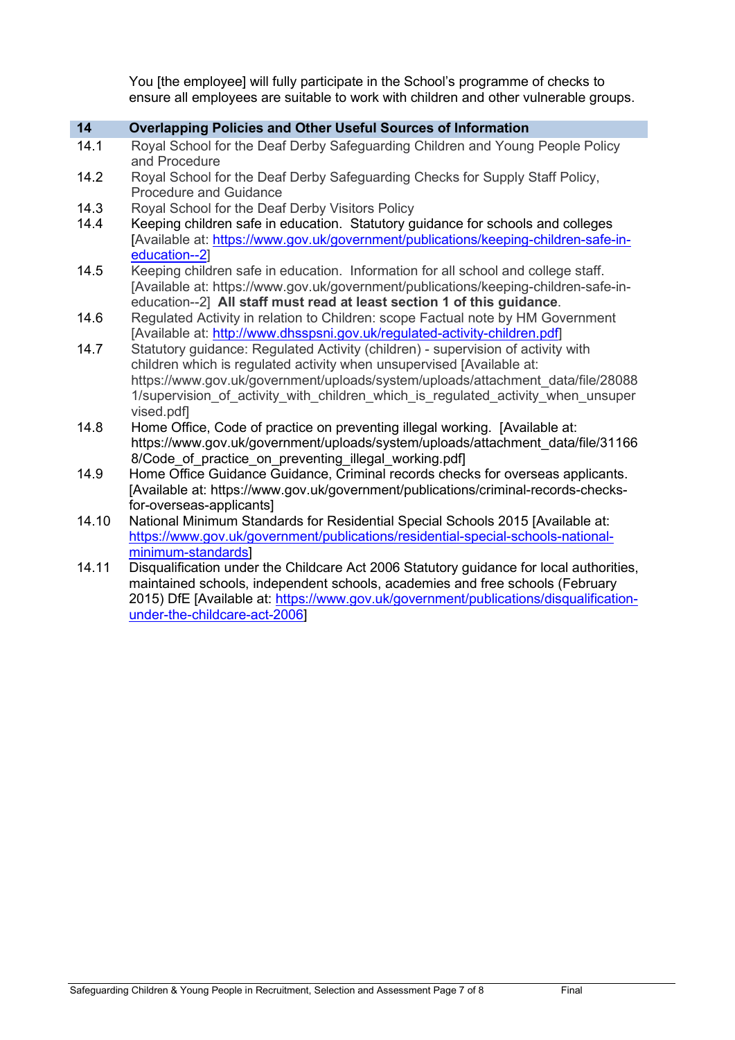You [the employee] will fully participate in the School's programme of checks to ensure all employees are suitable to work with children and other vulnerable groups.

### 14 Overlapping Policies and Other Useful Sources of Information

- 14.1 Royal School for the Deaf Derby Safeguarding Children and Young People Policy and Procedure
- 14.2 Royal School for the Deaf Derby Safeguarding Checks for Supply Staff Policy, Procedure and Guidance
- 14.3 Royal School for the Deaf Derby Visitors Policy<br>14.4 Keeping children safe in education. Statutory g
- Keeping children safe in education. Statutory guidance for schools and colleges [Available at: https://www.gov.uk/government/publications/keeping-children-safe-ineducation--2]
- 14.5 Keeping children safe in education. Information for all school and college staff. [Available at: https://www.gov.uk/government/publications/keeping-children-safe-ineducation--2] All staff must read at least section 1 of this guidance.
- 14.6 Regulated Activity in relation to Children: scope Factual note by HM Government [Available at: http://www.dhsspsni.gov.uk/regulated-activity-children.pdf]
- 14.7 Statutory guidance: Regulated Activity (children) supervision of activity with children which is regulated activity when unsupervised [Available at: https://www.gov.uk/government/uploads/system/uploads/attachment\_data/file/28088 1/supervision of activity with children which is regulated activity when unsuper vised.pdf]
- 14.8 Home Office, Code of practice on preventing illegal working. [Available at: https://www.gov.uk/government/uploads/system/uploads/attachment\_data/file/31166 8/Code of practice on preventing illegal working.pdf]
- 14.9 Home Office Guidance Guidance, Criminal records checks for overseas applicants. [Available at: https://www.gov.uk/government/publications/criminal-records-checksfor-overseas-applicants]
- 14.10 National Minimum Standards for Residential Special Schools 2015 [Available at: https://www.gov.uk/government/publications/residential-special-schools-nationalminimum-standards]
- 14.11 Disqualification under the Childcare Act 2006 Statutory guidance for local authorities, maintained schools, independent schools, academies and free schools (February 2015) DfE [Available at: https://www.gov.uk/government/publications/disqualificationunder-the-childcare-act-2006]